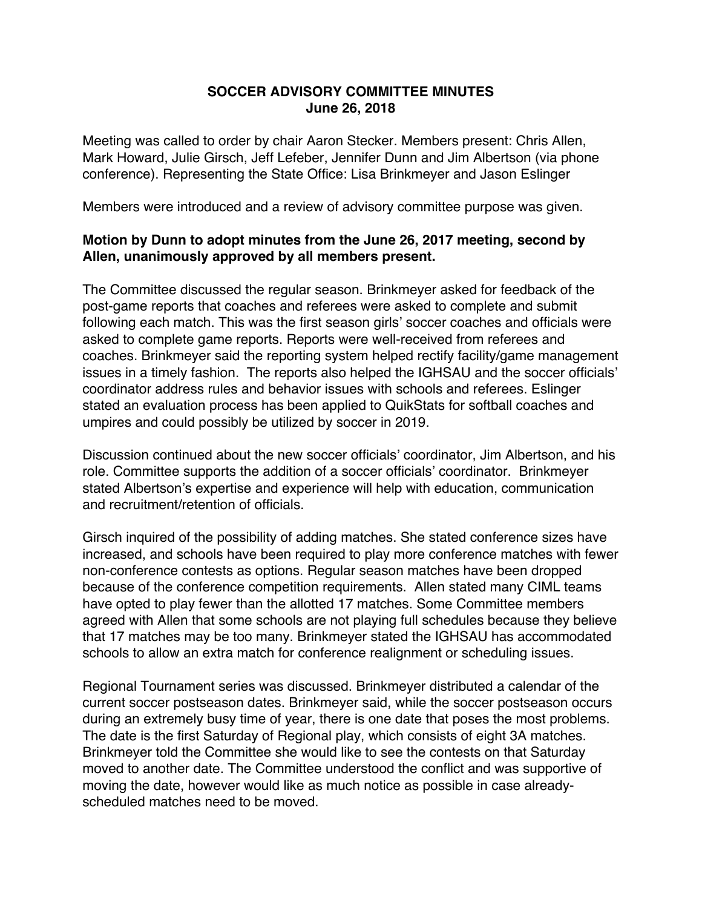## **SOCCER ADVISORY COMMITTEE MINUTES June 26, 2018**

Meeting was called to order by chair Aaron Stecker. Members present: Chris Allen, Mark Howard, Julie Girsch, Jeff Lefeber, Jennifer Dunn and Jim Albertson (via phone conference). Representing the State Office: Lisa Brinkmeyer and Jason Eslinger

Members were introduced and a review of advisory committee purpose was given.

## **Motion by Dunn to adopt minutes from the June 26, 2017 meeting, second by Allen, unanimously approved by all members present.**

The Committee discussed the regular season. Brinkmeyer asked for feedback of the post-game reports that coaches and referees were asked to complete and submit following each match. This was the first season girls' soccer coaches and officials were asked to complete game reports. Reports were well-received from referees and coaches. Brinkmeyer said the reporting system helped rectify facility/game management issues in a timely fashion. The reports also helped the IGHSAU and the soccer officials' coordinator address rules and behavior issues with schools and referees. Eslinger stated an evaluation process has been applied to QuikStats for softball coaches and umpires and could possibly be utilized by soccer in 2019.

Discussion continued about the new soccer officials' coordinator, Jim Albertson, and his role. Committee supports the addition of a soccer officials' coordinator. Brinkmeyer stated Albertson's expertise and experience will help with education, communication and recruitment/retention of officials.

Girsch inquired of the possibility of adding matches. She stated conference sizes have increased, and schools have been required to play more conference matches with fewer non-conference contests as options. Regular season matches have been dropped because of the conference competition requirements. Allen stated many CIML teams have opted to play fewer than the allotted 17 matches. Some Committee members agreed with Allen that some schools are not playing full schedules because they believe that 17 matches may be too many. Brinkmeyer stated the IGHSAU has accommodated schools to allow an extra match for conference realignment or scheduling issues.

Regional Tournament series was discussed. Brinkmeyer distributed a calendar of the current soccer postseason dates. Brinkmeyer said, while the soccer postseason occurs during an extremely busy time of year, there is one date that poses the most problems. The date is the first Saturday of Regional play, which consists of eight 3A matches. Brinkmeyer told the Committee she would like to see the contests on that Saturday moved to another date. The Committee understood the conflict and was supportive of moving the date, however would like as much notice as possible in case alreadyscheduled matches need to be moved.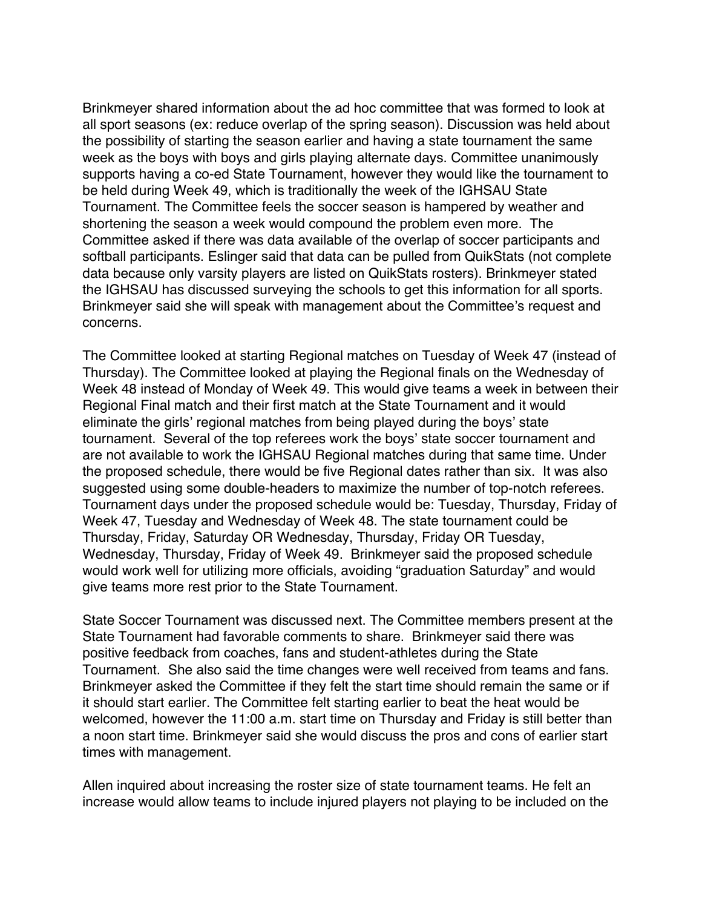Brinkmeyer shared information about the ad hoc committee that was formed to look at all sport seasons (ex: reduce overlap of the spring season). Discussion was held about the possibility of starting the season earlier and having a state tournament the same week as the boys with boys and girls playing alternate days. Committee unanimously supports having a co-ed State Tournament, however they would like the tournament to be held during Week 49, which is traditionally the week of the IGHSAU State Tournament. The Committee feels the soccer season is hampered by weather and shortening the season a week would compound the problem even more. The Committee asked if there was data available of the overlap of soccer participants and softball participants. Eslinger said that data can be pulled from QuikStats (not complete data because only varsity players are listed on QuikStats rosters). Brinkmeyer stated the IGHSAU has discussed surveying the schools to get this information for all sports. Brinkmeyer said she will speak with management about the Committee's request and concerns.

The Committee looked at starting Regional matches on Tuesday of Week 47 (instead of Thursday). The Committee looked at playing the Regional finals on the Wednesday of Week 48 instead of Monday of Week 49. This would give teams a week in between their Regional Final match and their first match at the State Tournament and it would eliminate the girls' regional matches from being played during the boys' state tournament. Several of the top referees work the boys' state soccer tournament and are not available to work the IGHSAU Regional matches during that same time. Under the proposed schedule, there would be five Regional dates rather than six. It was also suggested using some double-headers to maximize the number of top-notch referees. Tournament days under the proposed schedule would be: Tuesday, Thursday, Friday of Week 47, Tuesday and Wednesday of Week 48. The state tournament could be Thursday, Friday, Saturday OR Wednesday, Thursday, Friday OR Tuesday, Wednesday, Thursday, Friday of Week 49. Brinkmeyer said the proposed schedule would work well for utilizing more officials, avoiding "graduation Saturday" and would give teams more rest prior to the State Tournament.

State Soccer Tournament was discussed next. The Committee members present at the State Tournament had favorable comments to share. Brinkmeyer said there was positive feedback from coaches, fans and student-athletes during the State Tournament. She also said the time changes were well received from teams and fans. Brinkmeyer asked the Committee if they felt the start time should remain the same or if it should start earlier. The Committee felt starting earlier to beat the heat would be welcomed, however the 11:00 a.m. start time on Thursday and Friday is still better than a noon start time. Brinkmeyer said she would discuss the pros and cons of earlier start times with management.

Allen inquired about increasing the roster size of state tournament teams. He felt an increase would allow teams to include injured players not playing to be included on the